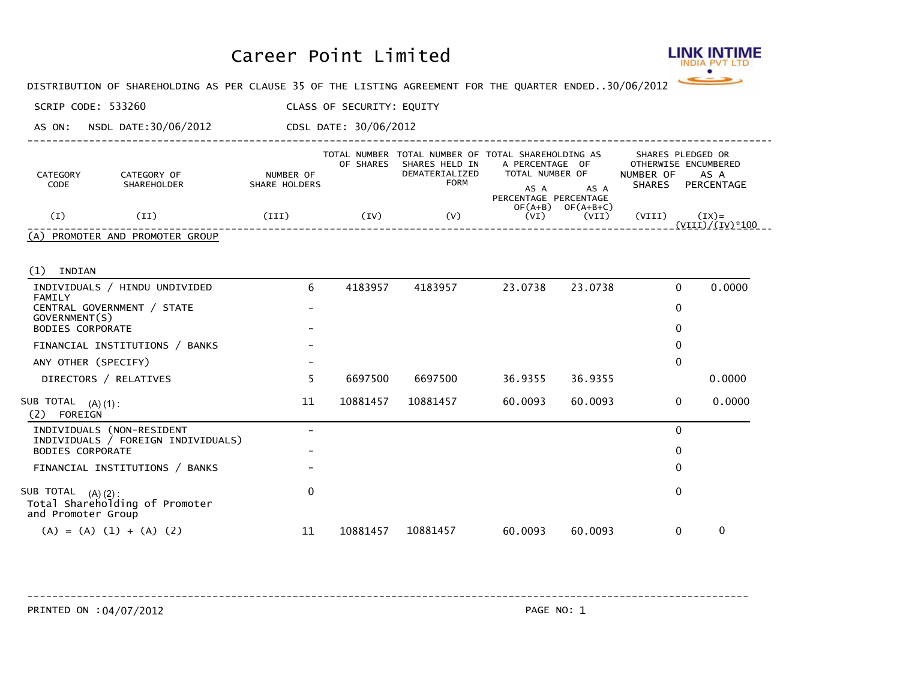## Career Point Limited



DISTRIBUTION OF SHAREHOLDING AS PER CLAUSE 35 OF THE LISTING AGREEMENT FOR THE QUARTER ENDED... 30/06/2012

SCRIP CODE: 533260 CLASS OF SECURITY: EQUITY

AS ON: NSDL DATE:30/06/2012 CDSL DATE: 30/06/2012

| CATEGORY<br>CODE | CATEGORY OF<br>SHAREHOLDER      | NUMBER OF<br>SHARE HOLDERS | TOTAL NUMBER<br>OF SHARES | SHARES HELD IN<br>DEMATERIALIZED<br><b>FORM</b> | TOTAL NUMBER OF TOTAL SHAREHOLDING AS<br>A PERCENTAGE OF<br>TOTAL NUMBER OF<br>AS A<br>AS A<br>PERCENTAGE PERCENTAGE | SHARES PLEDGED OR<br>OTHERWISE ENCUMBERED<br>NUMBER OF<br>AS A<br><b>SHARES</b><br>PERCENTAGE |  |
|------------------|---------------------------------|----------------------------|---------------------------|-------------------------------------------------|----------------------------------------------------------------------------------------------------------------------|-----------------------------------------------------------------------------------------------|--|
| Œ)               | (II)                            | (III)                      | (IV)                      | (V)                                             | $OF(A+B)$<br>$OF(A+B+C)$<br>(VI)<br>(VII)                                                                            | (VIII)<br>$(IX)=$<br>$(VIII)/(IV)*100$                                                        |  |
|                  | (A) PROMOTER AND PROMOTER GROUP |                            |                           |                                                 |                                                                                                                      |                                                                                               |  |

----------------------------------------------------------------------------------------------------------------------------

(1) INDIAN

| INDIVIDUALS / HINDU UNDIVIDED<br>FAMILY                                          | 6  | 4183957  | 4183957  | 23.0738 | 23.0738 | 0 | 0.0000       |
|----------------------------------------------------------------------------------|----|----------|----------|---------|---------|---|--------------|
| CENTRAL GOVERNMENT / STATE<br>GOVERNMENT(S)                                      |    |          |          |         |         | 0 |              |
| <b>BODIES CORPORATE</b>                                                          |    |          |          |         |         | 0 |              |
| FINANCIAL INSTITUTIONS / BANKS                                                   |    |          |          |         |         | 0 |              |
| ANY OTHER (SPECIFY)                                                              |    |          |          |         |         | 0 |              |
| DIRECTORS / RELATIVES                                                            |    | 6697500  | 6697500  | 36.9355 | 36.9355 |   | 0.0000       |
| SUB TOTAL<br>$(A) (1)$ :<br>(2)<br>FOREIGN                                       | 11 | 10881457 | 10881457 | 60.0093 | 60.0093 | 0 | 0.0000       |
| INDIVIDUALS (NON-RESIDENT<br>INDIVIDUALS / FOREIGN INDIVIDUALS)                  |    |          |          |         |         | 0 |              |
| <b>BODIES CORPORATE</b>                                                          |    |          |          |         |         | 0 |              |
| FINANCIAL INSTITUTIONS / BANKS                                                   |    |          |          |         |         | 0 |              |
| SUB TOTAL<br>$(A) (2)$ :<br>Total Shareholding of Promoter<br>and Promoter Group | 0  |          |          |         |         | 0 |              |
| $(A) = (A) (1) + (A) (2)$                                                        | 11 | 10881457 | 10881457 | 60.0093 | 60.0093 | 0 | $\mathbf{0}$ |

PRINTED ON : 04/07/2012 2012 ------------------------------------------------------------------------------------------------------------------------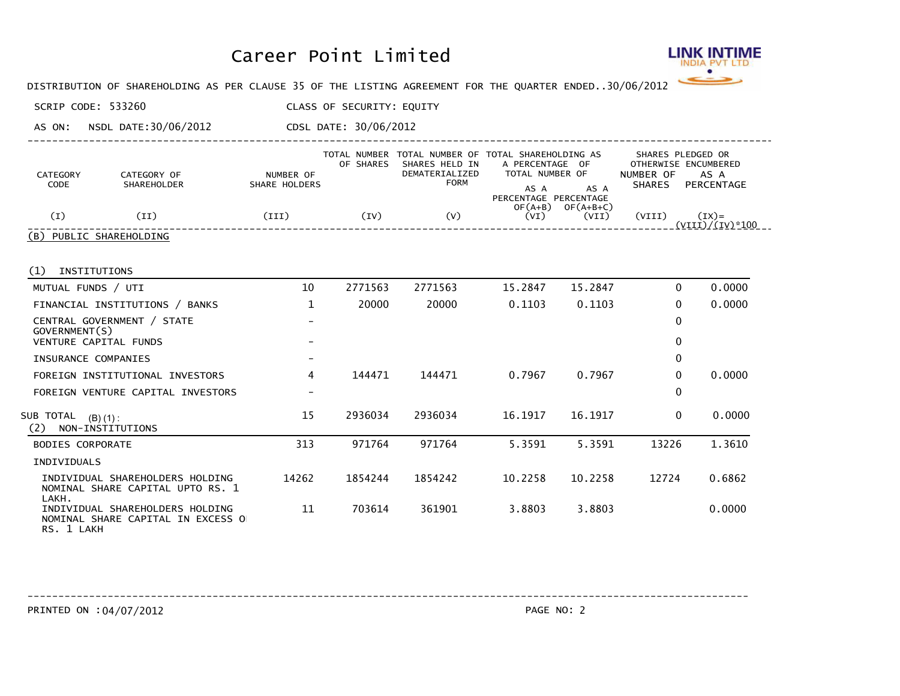## Career Point Limited



DISTRIBUTION OF SHAREHOLDING AS PER CLAUSE 35 OF THE LISTING AGREEMENT FOR THE QUARTER ENDED... 30/06/2012

SCRIP CODE: 533260 CLASS OF SECURITY: EQUITY

AS ON: NSDL DATE:30/06/2012 CDSL DATE: 30/06/2012

| CATEGORY<br>CODE        | CATEGORY OF<br><b>SHAREHOLDER</b> | NUMBER OF<br>SHARE HOLDERS | OF SHARES | SHARES HELD IN<br>DEMATERIALIZED<br><b>FORM</b> | TOTAL NUMBER TOTAL NUMBER OF TOTAL SHAREHOLDING AS<br>A PERCENTAGE OF<br>TOTAL NUMBER OF<br>AS A<br>AS A | SHARES PLEDGED OR<br>OTHERWISE ENCUMBERED<br>NUMBER OF<br>AS A<br>PERCENTAGE<br><b>SHARES</b> |  |
|-------------------------|-----------------------------------|----------------------------|-----------|-------------------------------------------------|----------------------------------------------------------------------------------------------------------|-----------------------------------------------------------------------------------------------|--|
| (I)                     | ΊI                                | (III)                      | (IV)      | (V)                                             | PERCENTAGE PERCENTAGE<br>$OF(A+B)$<br>$OF(A+B+C)$<br>(VI)<br>(VII)                                       | $(TX) =$<br>(VIII)<br>(VIII)/(IV)*100                                                         |  |
| (B) PUBLIC SHAREHOLDING |                                   |                            |           |                                                 |                                                                                                          |                                                                                               |  |

----------------------------------------------------------------------------------------------------------------------------

(1) INSTITUTIONS

| MUTUAL FUNDS / UTI                                                                 | 10                       | 2771563 | 2771563 | 15.2847 | 15.2847 | 0        | 0.0000 |
|------------------------------------------------------------------------------------|--------------------------|---------|---------|---------|---------|----------|--------|
| FINANCIAL INSTITUTIONS / BANKS                                                     |                          | 20000   | 20000   | 0.1103  | 0.1103  | 0        | 0.0000 |
| CENTRAL GOVERNMENT / STATE<br>GOVERNMENT(S)                                        | $\overline{\phantom{0}}$ |         |         |         |         | 0        |        |
| VENTURE CAPITAL FUNDS                                                              |                          |         |         |         |         | 0        |        |
| INSURANCE COMPANIES                                                                | $\overline{\phantom{0}}$ |         |         |         |         | 0        |        |
| FOREIGN INSTITUTIONAL INVESTORS                                                    | 4                        | 144471  | 144471  | 0.7967  | 0.7967  | 0        | 0.0000 |
| FOREIGN VENTURE CAPITAL INVESTORS                                                  |                          |         |         |         |         | 0        |        |
| SUB TOTAL<br>$(B) (1)$ :<br>(2)<br>NON-INSTITUTIONS                                | 15                       | 2936034 | 2936034 | 16.1917 | 16.1917 | $\Omega$ | 0.0000 |
| <b>BODIES CORPORATE</b>                                                            | 313                      | 971764  | 971764  | 5.3591  | 5.3591  | 13226    | 1.3610 |
| INDIVIDUALS                                                                        |                          |         |         |         |         |          |        |
| INDIVIDUAL SHAREHOLDERS HOLDING<br>NOMINAL SHARE CAPITAL UPTO RS. 1<br>LAKH.       | 14262                    | 1854244 | 1854242 | 10.2258 | 10.2258 | 12724    | 0.6862 |
| INDIVIDUAL SHAREHOLDERS HOLDING<br>NOMINAL SHARE CAPITAL IN EXCESS O<br>RS. 1 LAKH | 11                       | 703614  | 361901  | 3.8803  | 3.8803  |          | 0.0000 |

------------------------------------------------------------------------------------------------------------------------

PRINTED ON : 04/07/2012 2012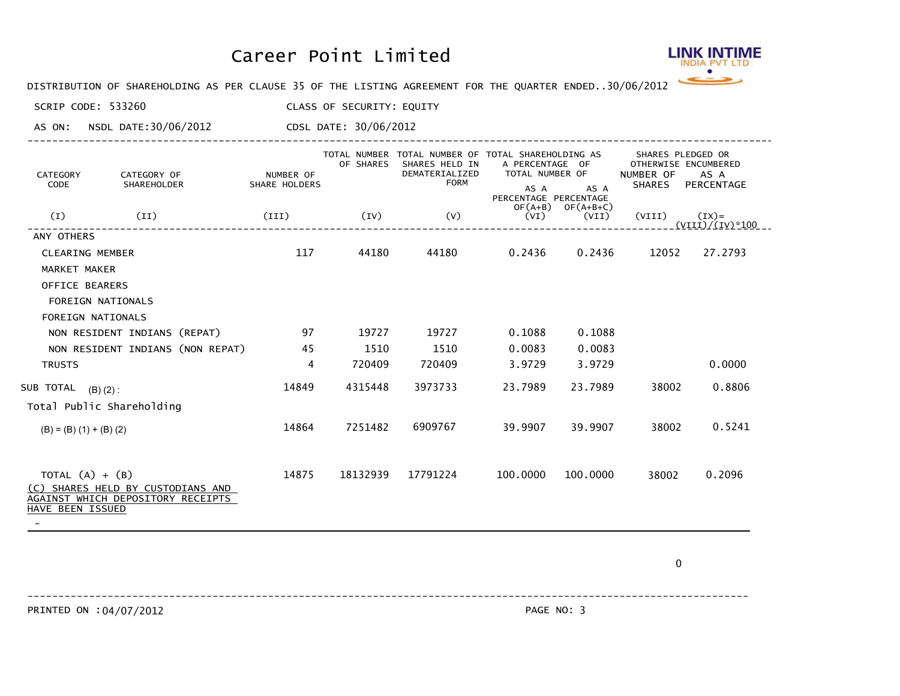## Career Point Limited



DISTRIBUTION OF SHAREHOLDING AS PER CLAUSE 35 OF THE LISTING AGREEMENT FOR THE QUARTER ENDED... 30/06/2012

SCRIP CODE: 533260 CLASS OF SECURITY: EQUITY

AS ON: NSDL DATE:30/06/2012 CDSL DATE: 30/06/2012

| CATEGORY<br>CODE                      | CATEGORY OF<br>SHAREHOLDER                                             | NUMBER OF<br>SHARE HOLDERS | OF SHARES | TOTAL NUMBER TOTAL NUMBER OF TOTAL SHAREHOLDING AS<br>SHARES HELD IN<br>DEMATERIALIZED<br><b>FORM</b> | A PERCENTAGE OF<br>TOTAL NUMBER OF<br>AS A<br>PERCENTAGE PERCENTAGE | AS A                           | SHARES PLEDGED OR<br>NUMBER OF | OTHERWISE ENCUMBERED<br>AS A<br>SHARES PERCENTAGE |
|---------------------------------------|------------------------------------------------------------------------|----------------------------|-----------|-------------------------------------------------------------------------------------------------------|---------------------------------------------------------------------|--------------------------------|--------------------------------|---------------------------------------------------|
| (I)                                   | (II)                                                                   | (III)                      | (IV)      | (V)                                                                                                   | (VI)                                                                | $OF(A+B)$ $OF(A+B+C)$<br>(VII) | (VIII)                         | $(IX) =$<br><u>(VIII)/(IV)*100 - </u>             |
| ANY OTHERS                            |                                                                        |                            |           |                                                                                                       |                                                                     |                                |                                |                                                   |
| <b>CLEARING MEMBER</b>                |                                                                        | 117                        | 44180     | 44180                                                                                                 | 0.2436                                                              | 0.2436                         | 12052                          | 27.2793                                           |
| <b>MARKET MAKER</b>                   |                                                                        |                            |           |                                                                                                       |                                                                     |                                |                                |                                                   |
| OFFICE BEARERS                        |                                                                        |                            |           |                                                                                                       |                                                                     |                                |                                |                                                   |
| FOREIGN NATIONALS                     |                                                                        |                            |           |                                                                                                       |                                                                     |                                |                                |                                                   |
| FOREIGN NATIONALS                     |                                                                        |                            |           |                                                                                                       |                                                                     |                                |                                |                                                   |
|                                       | NON RESIDENT INDIANS (REPAT)                                           | 97                         | 19727     | 19727                                                                                                 | 0.1088                                                              | 0.1088                         |                                |                                                   |
|                                       | NON RESIDENT INDIANS (NON REPAT)                                       | 45                         | 1510      | 1510                                                                                                  | 0.0083                                                              | 0.0083                         |                                |                                                   |
| <b>TRUSTS</b>                         |                                                                        | 4                          | 720409    | 720409                                                                                                | 3.9729                                                              | 3.9729                         |                                | 0.0000                                            |
| SUB TOTAL (B)(2):                     |                                                                        | 14849                      | 4315448   | 3973733                                                                                               | 23.7989                                                             | 23.7989                        | 38002                          | 0.8806                                            |
|                                       | Total Public Shareholding                                              |                            |           |                                                                                                       |                                                                     |                                |                                |                                                   |
| $(B) = (B) (1) + (B) (2)$             |                                                                        | 14864                      | 7251482   | 6909767                                                                                               | 39,9907                                                             | 39,9907                        | 38002                          | 0.5241                                            |
|                                       |                                                                        |                            |           |                                                                                                       |                                                                     |                                |                                |                                                   |
| TOTAL $(A) + (B)$<br>HAVE BEEN ISSUED | (C) SHARES HELD BY CUSTODIANS AND<br>AGAINST WHICH DEPOSITORY RECEIPTS | 14875                      | 18132939  | 17791224                                                                                              | 100,0000                                                            | 100,0000                       | 38002                          | 0.2096                                            |

----------------------------------------------------------------------------------------------------------------------------

0

------------------------------------------------------------------------------------------------------------------------

PRINTED ON : 04/07/2012 2012